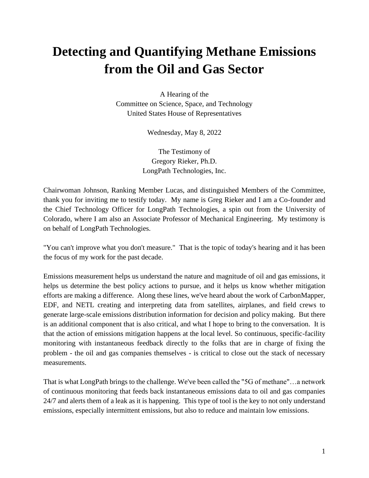# **Detecting and Quantifying Methane Emissions from the Oil and Gas Sector**

A Hearing of the Committee on Science, Space, and Technology United States House of Representatives

Wednesday, May 8, 2022

The Testimony of Gregory Rieker, Ph.D. LongPath Technologies, Inc.

Chairwoman Johnson, Ranking Member Lucas, and distinguished Members of the Committee, thank you for inviting me to testify today. My name is Greg Rieker and I am a Co-founder and the Chief Technology Officer for LongPath Technologies, a spin out from the University of Colorado, where I am also an Associate Professor of Mechanical Engineering. My testimony is on behalf of LongPath Technologies.

"You can't improve what you don't measure." That is the topic of today's hearing and it has been the focus of my work for the past decade.

Emissions measurement helps us understand the nature and magnitude of oil and gas emissions, it helps us determine the best policy actions to pursue, and it helps us know whether mitigation efforts are making a difference. Along these lines, we've heard about the work of CarbonMapper, EDF, and NETL creating and interpreting data from satellites, airplanes, and field crews to generate large-scale emissions distribution information for decision and policy making. But there is an additional component that is also critical, and what I hope to bring to the conversation. It is that the action of emissions mitigation happens at the local level. So continuous, specific-facility monitoring with instantaneous feedback directly to the folks that are in charge of fixing the problem - the oil and gas companies themselves - is critical to close out the stack of necessary measurements.

That is what LongPath brings to the challenge. We've been called the "5G of methane"…a network of continuous monitoring that feeds back instantaneous emissions data to oil and gas companies 24/7 and alerts them of a leak as it is happening. This type of tool is the key to not only understand emissions, especially intermittent emissions, but also to reduce and maintain low emissions.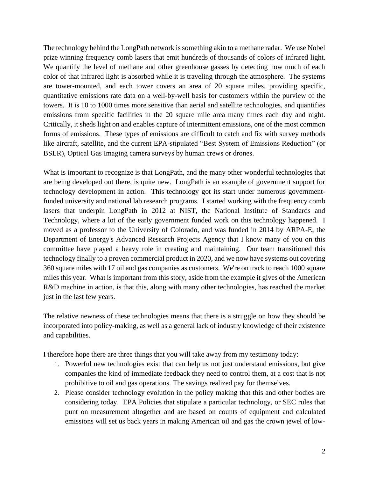The technology behind the LongPath network is something akin to a methane radar. We use Nobel prize winning frequency comb lasers that emit hundreds of thousands of colors of infrared light. We quantify the level of methane and other greenhouse gasses by detecting how much of each color of that infrared light is absorbed while it is traveling through the atmosphere. The systems are tower-mounted, and each tower covers an area of 20 square miles, providing specific, quantitative emissions rate data on a well-by-well basis for customers within the purview of the towers. It is 10 to 1000 times more sensitive than aerial and satellite technologies, and quantifies emissions from specific facilities in the 20 square mile area many times each day and night. Critically, it sheds light on and enables capture of intermittent emissions, one of the most common forms of emissions. These types of emissions are difficult to catch and fix with survey methods like aircraft, satellite, and the current EPA-stipulated "Best System of Emissions Reduction" (or BSER), Optical Gas Imaging camera surveys by human crews or drones.

What is important to recognize is that LongPath, and the many other wonderful technologies that are being developed out there, is quite new. LongPath is an example of government support for technology development in action. This technology got its start under numerous governmentfunded university and national lab research programs. I started working with the frequency comb lasers that underpin LongPath in 2012 at NIST, the National Institute of Standards and Technology, where a lot of the early government funded work on this technology happened. I moved as a professor to the University of Colorado, and was funded in 2014 by ARPA-E, the Department of Energy's Advanced Research Projects Agency that I know many of you on this committee have played a heavy role in creating and maintaining. Our team transitioned this technology finally to a proven commercial product in 2020, and we now have systems out covering 360 square miles with 17 oil and gas companies as customers. We're on track to reach 1000 square miles this year. What is important from this story, aside from the example it gives of the American R&D machine in action, is that this, along with many other technologies, has reached the market just in the last few years.

The relative newness of these technologies means that there is a struggle on how they should be incorporated into policy-making, as well as a general lack of industry knowledge of their existence and capabilities.

I therefore hope there are three things that you will take away from my testimony today:

- 1. Powerful new technologies exist that can help us not just understand emissions, but give companies the kind of immediate feedback they need to control them, at a cost that is not prohibitive to oil and gas operations. The savings realized pay for themselves.
- 2. Please consider technology evolution in the policy making that this and other bodies are considering today. EPA Policies that stipulate a particular technology, or SEC rules that punt on measurement altogether and are based on counts of equipment and calculated emissions will set us back years in making American oil and gas the crown jewel of low-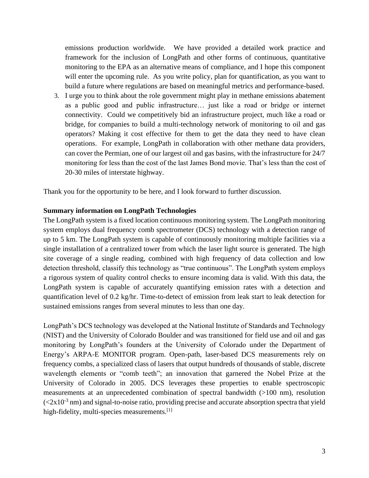emissions production worldwide. We have provided a detailed work practice and framework for the inclusion of LongPath and other forms of continuous, quantitative monitoring to the EPA as an alternative means of compliance, and I hope this component will enter the upcoming rule. As you write policy, plan for quantification, as you want to build a future where regulations are based on meaningful metrics and performance-based.

3. I urge you to think about the role government might play in methane emissions abatement as a public good and public infrastructure… just like a road or bridge or internet connectivity. Could we competitively bid an infrastructure project, much like a road or bridge, for companies to build a multi-technology network of monitoring to oil and gas operators? Making it cost effective for them to get the data they need to have clean operations. For example, LongPath in collaboration with other methane data providers, can cover the Permian, one of our largest oil and gas basins, with the infrastructure for 24/7 monitoring for less than the cost of the last James Bond movie. That's less than the cost of 20-30 miles of interstate highway.

Thank you for the opportunity to be here, and I look forward to further discussion.

#### **Summary information on LongPath Technologies**

The LongPath system is a fixed location continuous monitoring system. The LongPath monitoring system employs dual frequency comb spectrometer (DCS) technology with a detection range of up to 5 km. The LongPath system is capable of continuously monitoring multiple facilities via a single installation of a centralized tower from which the laser light source is generated. The high site coverage of a single reading, combined with high frequency of data collection and low detection threshold, classify this technology as "true continuous". The LongPath system employs a rigorous system of quality control checks to ensure incoming data is valid. With this data, the LongPath system is capable of accurately quantifying emission rates with a detection and quantification level of 0.2 kg/hr. Time-to-detect of emission from leak start to leak detection for sustained emissions ranges from several minutes to less than one day.

LongPath's DCS technology was developed at the National Institute of Standards and Technology (NIST) and the University of Colorado Boulder and was transitioned for field use and oil and gas monitoring by LongPath's founders at the University of Colorado under the Department of Energy's ARPA-E MONITOR program. Open-path, laser-based DCS measurements rely on frequency combs, a specialized class of lasers that output hundreds of thousands of stable, discrete wavelength elements or "comb teeth"; an innovation that garnered the Nobel Prize at the University of Colorado in 2005. DCS leverages these properties to enable spectroscopic measurements at an unprecedented combination of spectral bandwidth (>100 nm), resolution  $\left(\frac{2x}{10^{-3}}\right)$  and signal-to-noise ratio, providing precise and accurate absorption spectra that yield high-fidelity, multi-species measurements.<sup>[1]</sup>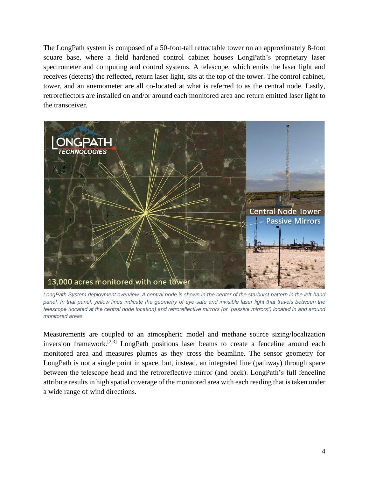The LongPath system is composed of a 50-foot-tall retractable tower on an approximately 8-foot square base, where a field hardened control cabinet houses LongPath's proprietary laser spectrometer and computing and control systems. A telescope, which emits the laser light and receives (detects) the reflected, return laser light, sits at the top of the tower. The control cabinet, tower, and an anemometer are all co-located at what is referred to as the central node. Lastly, retroreflectors are installed on and/or around each monitored area and return emitted laser light to the transceiver.



*LongPath System deployment overview. A central node is shown in the center of the starburst pattern in the left-hand panel. In that panel, yellow lines indicate the geometry of eye-safe and invisible laser light that travels between the telescope (located at the central node location) and retroreflective mirrors (or "passive mirrors") located in and around monitored areas.*

Measurements are coupled to an atmospheric model and methane source sizing/localization inversion framework.<sup>[2,3]</sup> LongPath positions laser beams to create a fenceline around each monitored area and measures plumes as they cross the beamline. The sensor geometry for LongPath is not a single point in space, but, instead, an integrated line (pathway) through space between the telescope head and the retroreflective mirror (and back). LongPath's full fenceline attribute results in high spatial coverage of the monitored area with each reading that is taken under a wide range of wind directions.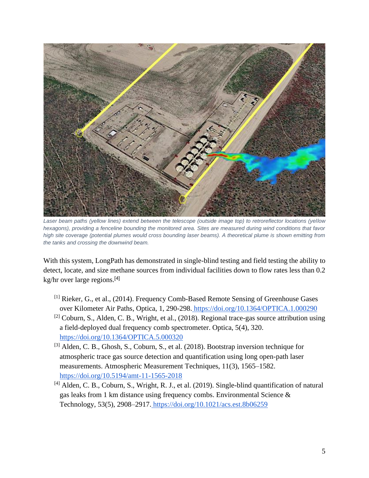

*Laser beam paths (yellow lines) extend between the telescope (outside image top) to retroreflector locations (yellow hexagons), providing a fenceline bounding the monitored area. Sites are measured during wind conditions that favor high site coverage (potential plumes would cross bounding laser beams). A theoretical plume is shown emitting from the tanks and crossing the downwind beam.*

With this system, LongPath has demonstrated in single-blind testing and field testing the ability to detect, locate, and size methane sources from individual facilities down to flow rates less than 0.2 kg/hr over large regions.[4]

- [1] Rieker, G., et al., (2014). Frequency Comb-Based Remote Sensing of Greenhouse Gases over Kilometer Air Paths, Optica, 1, 290-298. <https://doi.org/10.1364/OPTICA.1.000290>
- [2] Coburn, S., Alden, C. B., Wright, et al., (2018). Regional trace-gas source attribution using a field-deployed dual frequency comb spectrometer. Optica, 5(4), 320[.](https://doi.org/10.1364/OPTICA.5.000320) <https://doi.org/10.1364/OPTICA.5.000320>
- [3] Alden, C. B., Ghosh, S., Coburn, S., et al. (2018). Bootstrap inversion technique for atmospheric trace gas source detection and quantification using long open-path laser measurements. Atmospheric Measurement Techniques, 11(3), 1565–1582[.](https://doi.org/10.5194/amt-11-1565-2018) <https://doi.org/10.5194/amt-11-1565-2018>
- [4] Alden, C. B., Coburn, S., Wright, R. J., et al. (2019). Single-blind quantification of natural gas leaks from 1 km distance using frequency combs. Environmental Science & Technology, 53(5), 2908–2917. <https://doi.org/10.1021/acs.est.8b06259>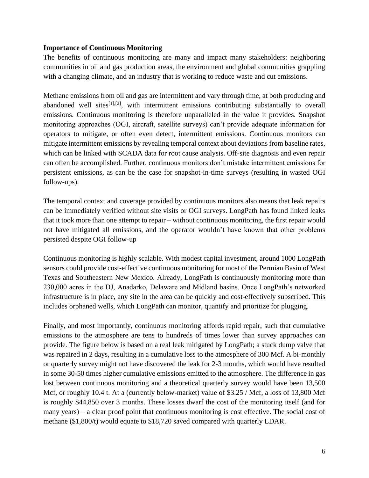#### **Importance of Continuous Monitoring**

The benefits of continuous monitoring are many and impact many stakeholders: neighboring communities in oil and gas production areas, the environment and global communities grappling with a changing climate, and an industry that is working to reduce waste and cut emissions.

Methane emissions from oil and gas are intermittent and vary through time, at both producing and abandoned well sites $\left[11,12\right]$ , with intermittent emissions contributing substantially to overall emissions. Continuous monitoring is therefore unparalleled in the value it provides. Snapshot monitoring approaches (OGI, aircraft, satellite surveys) can't provide adequate information for operators to mitigate, or often even detect, intermittent emissions. Continuous monitors can mitigate intermittent emissions by revealing temporal context about deviations from baseline rates, which can be linked with SCADA data for root cause analysis. Off-site diagnosis and even repair can often be accomplished. Further, continuous monitors don't mistake intermittent emissions for persistent emissions, as can be the case for snapshot-in-time surveys (resulting in wasted OGI follow-ups).

The temporal context and coverage provided by continuous monitors also means that leak repairs can be immediately verified without site visits or OGI surveys. LongPath has found linked leaks that it took more than one attempt to repair – without continuous monitoring, the first repair would not have mitigated all emissions, and the operator wouldn't have known that other problems persisted despite OGI follow-up

Continuous monitoring is highly scalable. With modest capital investment, around 1000 LongPath sensors could provide cost-effective continuous monitoring for most of the Permian Basin of West Texas and Southeastern New Mexico. Already, LongPath is continuously monitoring more than 230,000 acres in the DJ, Anadarko, Delaware and Midland basins. Once LongPath's networked infrastructure is in place, any site in the area can be quickly and cost-effectively subscribed. This includes orphaned wells, which LongPath can monitor, quantify and prioritize for plugging.

Finally, and most importantly, continuous monitoring affords rapid repair, such that cumulative emissions to the atmosphere are tens to hundreds of times lower than survey approaches can provide. The figure below is based on a real leak mitigated by LongPath; a stuck dump valve that was repaired in 2 days, resulting in a cumulative loss to the atmosphere of 300 Mcf. A bi-monthly or quarterly survey might not have discovered the leak for 2-3 months, which would have resulted in some 30-50 times higher cumulative emissions emitted to the atmosphere. The difference in gas lost between continuous monitoring and a theoretical quarterly survey would have been 13,500 Mcf, or roughly 10.4 t. At a (currently below-market) value of \$3.25 / Mcf, a loss of 13,800 Mcf is roughly \$44,850 over 3 months. These losses dwarf the cost of the monitoring itself (and for many years) – a clear proof point that continuous monitoring is cost effective. The social cost of methane (\$1,800/t) would equate to \$18,720 saved compared with quarterly LDAR.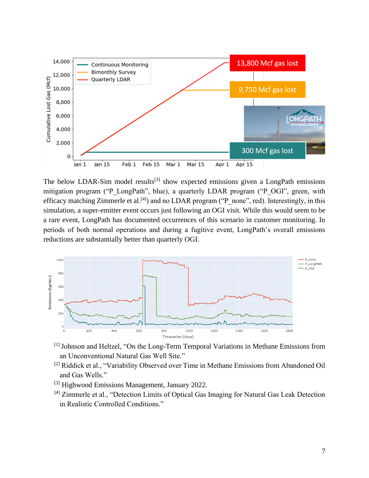

The below LDAR-Sim model results<sup>[3]</sup> show expected emissions given a LongPath emissions mitigation program ("P\_LongPath", blue), a quarterly LDAR program ("P\_OGI", green, with efficacy matching Zimmerle et al.<sup>[4]</sup>) and no LDAR program ("P\_none", red). Interestingly, in this simulation, a super-emitter event occurs just following an OGI visit. While this would seem to be a rare event, LongPath has documented occurrences of this scenario in customer monitoring. In periods of both normal operations and during a fugitive event, LongPath's overall emissions reductions are substantially better than quarterly OGI.



- [1] Johnson and Heltzel, "On the Long-Term Temporal Variations in Methane Emissions from an Unconventional Natural Gas Well Site."
- <sup>[2]</sup> Riddick et al., "Variability Observed over Time in Methane Emissions from Abandoned Oil and Gas Wells."
- [3] Highwood Emissions Management, January 2022.
- <sup>[4]</sup> Zimmerle et al., "Detection Limits of Optical Gas Imaging for Natural Gas Leak Detection in Realistic Controlled Conditions."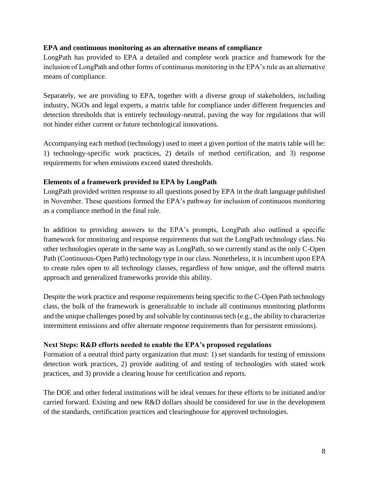### **EPA and continuous monitoring as an alternative means of compliance**

LongPath has provided to EPA a detailed and complete work practice and framework for the inclusion of LongPath and other forms of continuous monitoring in the EPA's rule as an alternative means of compliance.

Separately, we are providing to EPA, together with a diverse group of stakeholders, including industry, NGOs and legal experts, a matrix table for compliance under different frequencies and detection thresholds that is entirely technology-neutral, paving the way for regulations that will not hinder either current or future technological innovations.

Accompanying each method (technology) used to meet a given portion of the matrix table will be: 1) technology-specific work practices, 2) details of method certification, and 3) response requirements for when emissions exceed stated thresholds.

#### **Elements of a framework provided to EPA by LongPath**

LongPath provided written response to all questions posed by EPA in the draft language published in November. These questions formed the EPA's pathway for inclusion of continuous monitoring as a compliance method in the final rule.

In addition to providing answers to the EPA's prompts, LongPath also outlined a specific framework for monitoring and response requirements that suit the LongPath technology class. No other technologies operate in the same way as LongPath, so we currently stand as the only C-Open Path (Continuous-Open Path) technology type in our class. Nonetheless, it is incumbent upon EPA to create rules open to all technology classes, regardless of how unique, and the offered matrix approach and generalized frameworks provide this ability.

Despite the work practice and response requirements being specific to the C-Open Path technology class, the bulk of the framework is generalizable to include all continuous monitoring platforms and the unique challenges posed by and solvable by continuous tech (e.g., the ability to characterize intermittent emissions and offer alternate response requirements than for persistent emissions).

# **Next Steps: R&D efforts needed to enable the EPA's proposed regulations**

Formation of a neutral third party organization that must: 1) set standards for testing of emissions detection work practices, 2) provide auditing of and testing of technologies with stated work practices, and 3) provide a clearing house for certification and reports.

The DOE and other federal institutions will be ideal venues for these efforts to be initiated and/or carried forward. Existing and new R&D dollars should be considered for use in the development of the standards, certification practices and clearinghouse for approved technologies.